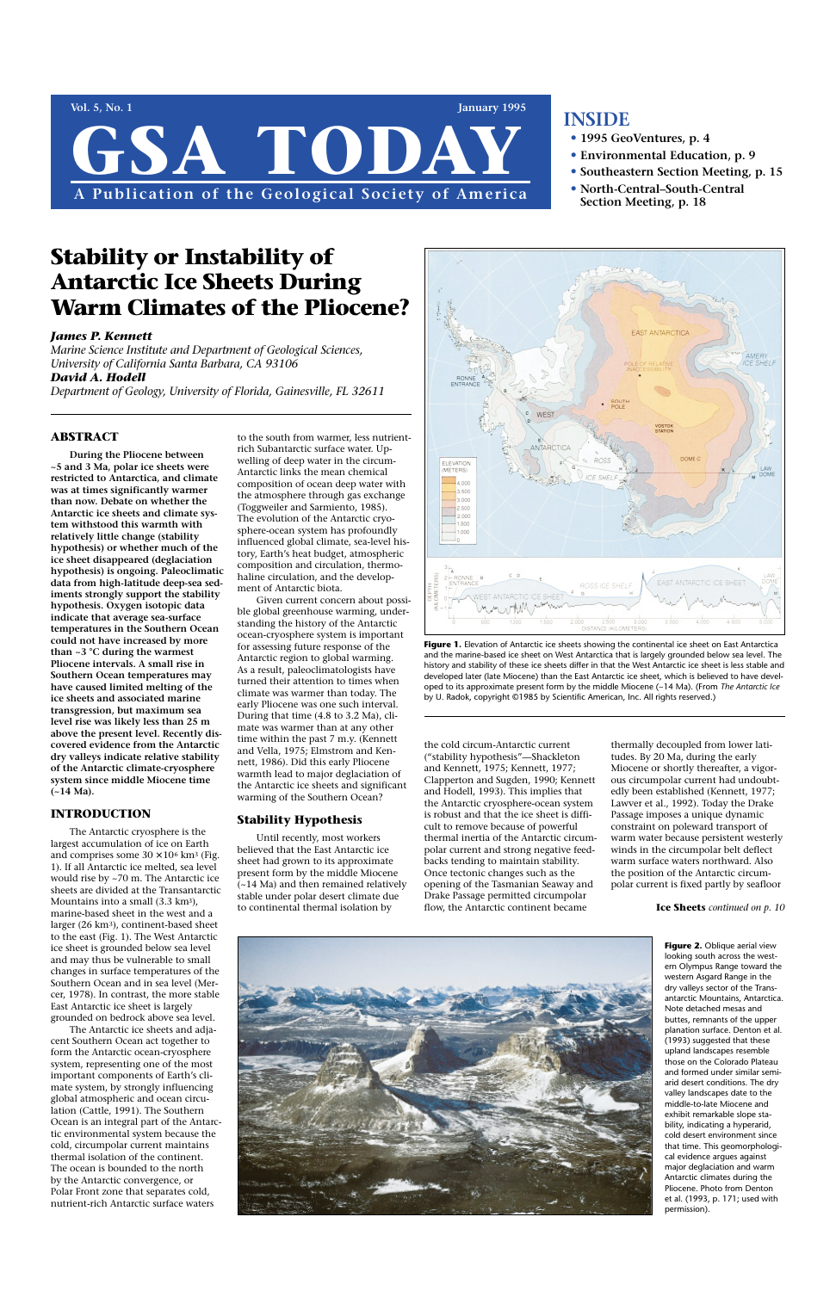#### **ABSTRACT**

**During the Pliocene between ~5 and 3 Ma, polar ice sheets were restricted to Antarctica, and climate was at times significantly warmer than now. Debate on whether the Antarctic ice sheets and climate system withstood this warmth with relatively little change (stability hypothesis) or whether much of the ice sheet disappeared (deglaciation hypothesis) is ongoing. Paleoclimatic data from high-latitude deep-sea sediments strongly support the stability hypothesis. Oxygen isotopic data indicate that average sea-surface temperatures in the Southern Ocean could not have increased by more than ~3 °C during the warmest Pliocene intervals. A small rise in Southern Ocean temperatures may have caused limited melting of the ice sheets and associated marine transgression, but maximum sea level rise was likely less than 25 m above the present level. Recently discovered evidence from the Antarctic dry valleys indicate relative stability of the Antarctic climate-cryosphere system since middle Miocene time (~14 Ma).** 

#### **INTRODUCTION**

The Antarctic cryosphere is the largest accumulation of ice on Earth and comprises some  $30 \times 10^6$  km<sup>3</sup> (Fig. 1). If all Antarctic ice melted, sea level would rise by ~70 m. The Antarctic ice sheets are divided at the Transantarctic Mountains into a small (3.3 km3), marine-based sheet in the west and a larger (26 km3), continent-based sheet to the east (Fig. 1). The West Antarctic ice sheet is grounded below sea level and may thus be vulnerable to small changes in surface temperatures of the Southern Ocean and in sea level (Mercer, 1978). In contrast, the more stable East Antarctic ice sheet is largely grounded on bedrock above sea level. The Antarctic ice sheets and adjacent Southern Ocean act together to form the Antarctic ocean-cryosphere system, representing one of the most important components of Earth's climate system, by strongly influencing global atmospheric and ocean circulation (Cattle, 1991). The Southern Ocean is an integral part of the Antarctic environmental system because the cold, circumpolar current maintains thermal isolation of the continent. The ocean is bounded to the north by the Antarctic convergence, or Polar Front zone that separates cold, nutrient-rich Antarctic surface waters

# **Vol. 5, No. 1 January 1995** GSA TODA **A Publication of the Geological Society of America**

to the south from warmer, less nutrientrich Subantarctic surface water. Upwelling of deep water in the circum-Antarctic links the mean chemical composition of ocean deep water with the atmosphere through gas exchange (Toggweiler and Sarmiento, 1985). The evolution of the Antarctic cryosphere-ocean system has profoundly influenced global climate, sea-level history, Earth's heat budget, atmospheric composition and circulation, thermohaline circulation, and the development of Antarctic biota.



Figure 1. Elevation of Antarctic ice sheets showing the continental ice sheet on East Antarctica and the marine-based ice sheet on West Antarctica that is largely grounded below sea level. The history and stability of these ice sheets differ in that the West Antarctic ice sheet is less stable and developed later (late Miocene) than the East Antarctic ice sheet, which is believed to have developed to its approximate present form by the middle Miocene (~14 Ma). (From *The Antarctic Ice* by U. Radok, copyright ©1985 by Scientific American, Inc. All rights reserved.)

Given current concern about possible global greenhouse warming, understanding the history of the Antarctic ocean-cryosphere system is important for assessing future response of the Antarctic region to global warming. As a result, paleoclimatologists have turned their attention to times when climate was warmer than today. The early Pliocene was one such interval. During that time (4.8 to 3.2 Ma), climate was warmer than at any other time within the past 7 m.y. (Kennett and Vella, 1975; Elmstrom and Kennett, 1986). Did this early Pliocene warmth lead to major deglaciation of the Antarctic ice sheets and significant warming of the Southern Ocean?

#### **Stability Hypothesis**

Until recently, most workers believed that the East Antarctic ice sheet had grown to its approximate present form by the middle Miocene (~14 Ma) and then remained relatively stable under polar desert climate due to continental thermal isolation by

the cold circum-Antarctic current ("stability hypothesis"—Shackleton and Kennett, 1975; Kennett, 1977; Clapperton and Sugden, 1990; Kennett and Hodell, 1993). This implies that the Antarctic cryosphere-ocean system is robust and that the ice sheet is difficult to remove because of powerful thermal inertia of the Antarctic circumpolar current and strong negative feedbacks tending to maintain stability. Once tectonic changes such as the opening of the Tasmanian Seaway and Drake Passage permitted circumpolar flow, the Antarctic continent became

thermally decoupled from lower latitudes. By 20 Ma, during the early Miocene or shortly thereafter, a vigorous circumpolar current had undoubtedly been established (Kennett, 1977; Lawver et al., 1992). Today the Drake Passage imposes a unique dynamic constraint on poleward transport of warm water because persistent westerly winds in the circumpolar belt deflect warm surface waters northward. Also the position of the Antarctic circumpolar current is fixed partly by seafloor

## **INSIDE**

- **• 1995 GeoVentures, p. 4**
- **• Environmental Education, p. 9**
- **• Southeastern Section Meeting, p. 15**
- **• North-Central–South-Central Section Meeting, p. 18**

# **Stability or Instability of Antarctic Ice Sheets During Warm Climates of the Pliocene?**

#### *James P. Kennett*

*Marine Science Institute and Department of Geological Sciences, University of California Santa Barbara, CA 93106 David A. Hodell*

*Department of Geology, University of Florida, Gainesville, FL 32611*

looking south across the western Olympus Range toward the western Asgard Range in the dry valleys sector of the Transantarctic Mountains, Antarctica. Note detached mesas and buttes, remnants of the upper planation surface. Denton et al. (1993) suggested that these upland landscapes resemble those on the Colorado Plateau and formed under similar semiarid desert conditions. The dry valley landscapes date to the middle-to-late Miocene and exhibit remarkable slope stability, indicating a hyperarid, cold desert environment since that time. This geomorphological evidence argues against major deglaciation and warm Antarctic climates during the Pliocene. Photo from Denton et al. (1993, p. 171; used with permission).

**Ice Sheets** *continued on p. 10*

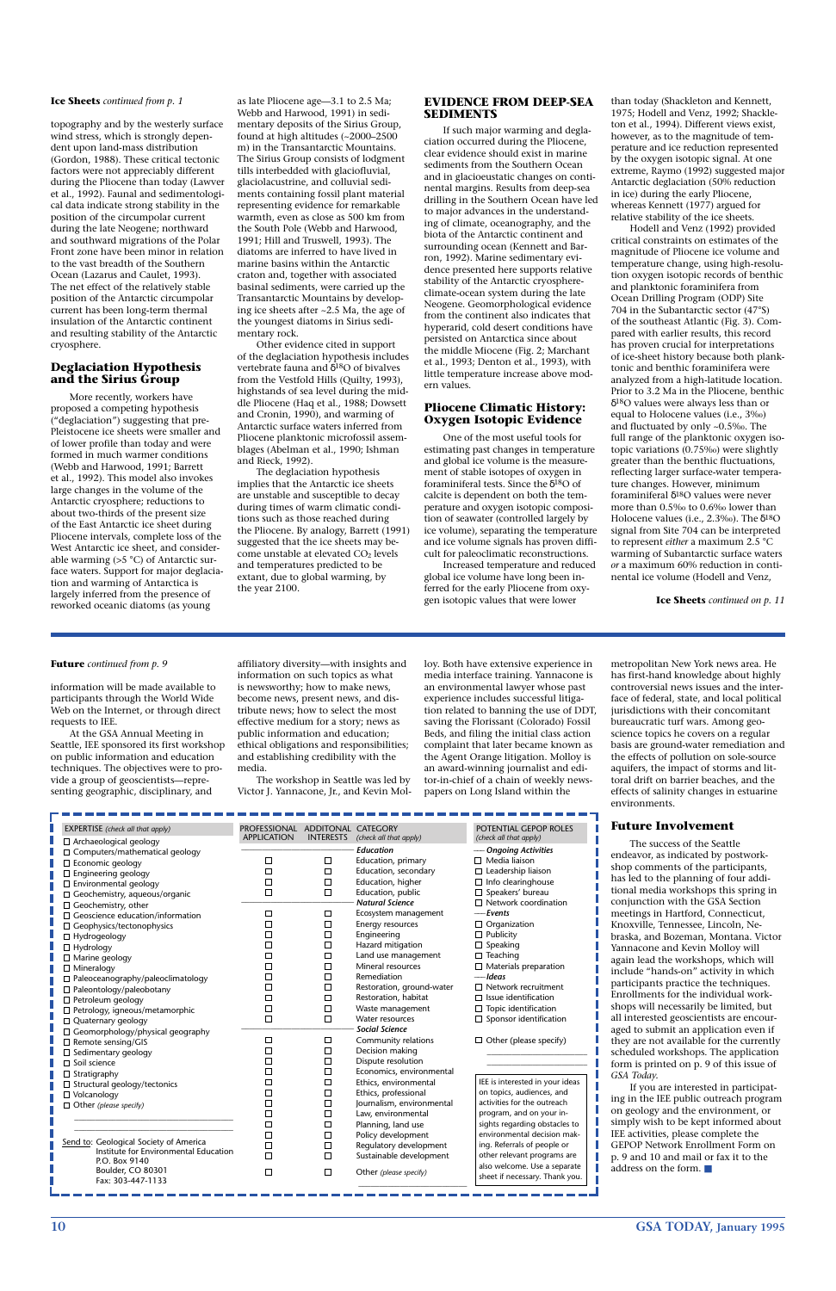**10 GSA TODAY, January 1995**

topography and by the westerly surface wind stress, which is strongly dependent upon land-mass distribution (Gordon, 1988). These critical tectonic factors were not appreciably different during the Pliocene than today (Lawver et al., 1992). Faunal and sedimentological data indicate strong stability in the position of the circumpolar current during the late Neogene; northward and southward migrations of the Polar Front zone have been minor in relation to the vast breadth of the Southern Ocean (Lazarus and Caulet, 1993). The net effect of the relatively stable position of the Antarctic circumpolar current has been long-term thermal insulation of the Antarctic continent and resulting stability of the Antarctic cryosphere.

#### **Deglaciation Hypothesis and the Sirius Group**

More recently, workers have proposed a competing hypothesis ("deglaciation") suggesting that pre-Pleistocene ice sheets were smaller and of lower profile than today and were formed in much warmer conditions (Webb and Harwood, 1991; Barrett et al., 1992). This model also invokes large changes in the volume of the Antarctic cryosphere; reductions to about two-thirds of the present size of the East Antarctic ice sheet during Pliocene intervals, complete loss of the West Antarctic ice sheet, and considerable warming (>5 °C) of Antarctic surface waters. Support for major deglaciation and warming of Antarctica is largely inferred from the presence of reworked oceanic diatoms (as young

as late Pliocene age—3.1 to 2.5 Ma; Webb and Harwood, 1991) in sedimentary deposits of the Sirius Group, found at high altitudes (~2000–2500 m) in the Transantarctic Mountains. The Sirius Group consists of lodgment tills interbedded with glaciofluvial, glaciolacustrine, and colluvial sediments containing fossil plant material representing evidence for remarkable warmth, even as close as 500 km from the South Pole (Webb and Harwood, 1991; Hill and Truswell, 1993). The diatoms are inferred to have lived in marine basins within the Antarctic craton and, together with associated basinal sediments, were carried up the Transantarctic Mountains by developing ice sheets after ~2.5 Ma, the age of the youngest diatoms in Sirius sedimentary rock.

Other evidence cited in support of the deglaciation hypothesis includes vertebrate fauna and δ18O of bivalves from the Vestfold Hills (Quilty, 1993), highstands of sea level during the middle Pliocene (Haq et al., 1988; Dowsett and Cronin, 1990), and warming of Antarctic surface waters inferred from Pliocene planktonic microfossil assemblages (Abelman et al., 1990; Ishman and Rieck, 1992).

The deglaciation hypothesis implies that the Antarctic ice sheets are unstable and susceptible to decay during times of warm climatic conditions such as those reached during the Pliocene. By analogy, Barrett (1991) suggested that the ice sheets may become unstable at elevated CO<sub>2</sub> levels and temperatures predicted to be extant, due to global warming, by the year 2100.

#### **EVIDENCE FROM DEEP-SEA SEDIMENTS**

If such major warming and deglaciation occurred during the Pliocene, clear evidence should exist in marine sediments from the Southern Ocean and in glacioeustatic changes on continental margins. Results from deep-sea drilling in the Southern Ocean have led to major advances in the understanding of climate, oceanography, and the biota of the Antarctic continent and surrounding ocean (Kennett and Barron, 1992). Marine sedimentary evidence presented here supports relative stability of the Antarctic cryosphereclimate-ocean system during the late Neogene. Geomorphological evidence from the continent also indicates that hyperarid, cold desert conditions have persisted on Antarctica since about the middle Miocene (Fig. 2; Marchant et al., 1993; Denton et al., 1993), with little temperature increase above modern values.

#### **Pliocene Climatic History: Oxygen Isotopic Evidence**

One of the most useful tools for estimating past changes in temperature and global ice volume is the measurement of stable isotopes of oxygen in foraminiferal tests. Since the  $\delta^{18}O$  of calcite is dependent on both the temperature and oxygen isotopic composition of seawater (controlled largely by ice volume), separating the temperature and ice volume signals has proven difficult for paleoclimatic reconstructions.

Increased temperature and reduced global ice volume have long been inferred for the early Pliocene from oxygen isotopic values that were lower

than today (Shackleton and Kennett, 1975; Hodell and Venz, 1992; Shackleton et al., 1994). Different views exist, however, as to the magnitude of temperature and ice reduction represented by the oxygen isotopic signal. At one extreme, Raymo (1992) suggested major Antarctic deglaciation (50% reduction in ice) during the early Pliocene, whereas Kennett (1977) argued for relative stability of the ice sheets.

Hodell and Venz (1992) provided critical constraints on estimates of the magnitude of Pliocene ice volume and temperature change, using high-resolution oxygen isotopic records of benthic and planktonic foraminifera from Ocean Drilling Program (ODP) Site 704 in the Subantarctic sector (47°S) of the southeast Atlantic (Fig. 3). Compared with earlier results, this record has proven crucial for interpretations of ice-sheet history because both planktonic and benthic foraminifera were analyzed from a high-latitude location. Prior to 3.2 Ma in the Pliocene, benthic δ18O values were always less than or equal to Holocene values (i.e., 3‰) and fluctuated by only ~0.5‰. The full range of the planktonic oxygen isotopic variations (0.75‰) were slightly greater than the benthic fluctuations, reflecting larger surface-water temperature changes. However, minimum foraminiferal δ18O values were never more than 0.5‰ to 0.6‰ lower than Holocene values (i.e., 2.3‰). The  $\delta^{18}O$ signal from Site 704 can be interpreted to represent *either* a maximum 2.5 °C warming of Subantarctic surface waters *or* a maximum 60% reduction in continental ice volume (Hodell and Venz,

information will be made available to participants through the World Wide Web on the Internet, or through direct requests to IEE.

At the GSA Annual Meeting in Seattle, IEE sponsored its first workshop on public information and education techniques. The objectives were to provide a group of geoscientists—representing geographic, disciplinary, and

affiliatory diversity—with insights and information on such topics as what is newsworthy; how to make news, become news, present news, and distribute news; how to select the most effective medium for a story; news as public information and education; ethical obligations and responsibilities; and establishing credibility with the media.

The workshop in Seattle was led by Victor J. Yannacone, Jr., and Kevin Molloy. Both have extensive experience in media interface training. Yannacone is an environmental lawyer whose past experience includes successful litigation related to banning the use of DDT, saving the Florissant (Colorado) Fossil Beds, and filing the initial class action complaint that later became known as the Agent Orange litigation. Molloy is an award-winning journalist and editor-in-chief of a chain of weekly newspapers on Long Island within the

metropolitan New York news area. He has first-hand knowledge about highly controversial news issues and the interface of federal, state, and local political jurisdictions with their concomitant bureaucratic turf wars. Among geoscience topics he covers on a regular basis are ground-water remediation and the effects of pollution on sole-source aquifers, the impact of storms and littoral drift on barrier beaches, and the effects of salinity changes in estuarine environments.

#### **Future Involvement**

The success of the Seattle endeavor, as indicated by postworkshop comments of the participants, has led to the planning of four additional media workshops this spring in conjunction with the GSA Section meetings in Hartford, Connecticut, Knoxville, Tennessee, Lincoln, Nebraska, and Bozeman, Montana. Victor

| <b>EXPERTISE</b> (check all that apply) | <b>PROFESSIONAL</b> | <b>ADDITONAL</b> | <b>CATEGORY</b>        | POTENTIAL GEPOP ROLES       |
|-----------------------------------------|---------------------|------------------|------------------------|-----------------------------|
| $\Box$ Archaeological geology           | <b>APPLICATION</b>  | <b>INTERESTS</b> | (check all that apply) | (check all that apply)      |
| $\Box$ Computers/mathematical geology   |                     |                  | <b>Education</b>       | — Ongoing Activities        |
| $\Box$ Economic geology                 |                     | $\Box$           | Education, primary     | $\Box$ Media liaison        |
| $\Box$ Engineering geology              |                     | ⊏                | Education, secondary   | $\Box$ Leadership liaison   |
| $\Box$ Environmental geology            |                     | Г                | Education, higher      | $\Box$ Info clearinghouse   |
| $\Box$ Geochemistry, aqueous/organic    |                     | ⊏                | Education, public      | $\Box$ Speakers' bureau     |
| $\Box$ Geochemistry, other              |                     |                  | <b>Natural Science</b> | $\Box$ Network coordination |
| $\Box$ Geoscience education/information |                     | $\Box$           | Ecosystem management   | — Events                    |
| $\Box$ Geophysics/tectonophysics        |                     | $\Box$           | Energy resources       | $\Box$ Organization         |
| $\Box$ Hydrogeology                     |                     |                  | Engineering            | $\Box$ Publicity            |
| _______                                 |                     |                  | Hazard mitigation      | $\Box$ Speaking             |

| $\Box$ Mineralogy<br>$\Box$ Paleoceanography/paleoclimatology<br>$\Box$ Paleontology/paleobotany<br>$\Box$ Petroleum geology<br>$\Box$ Petrology, igneous/metamorphic<br>$\Box$ Quaternary geology                                        | $\Box$ | Mineral resources<br>Remediation<br>Restoration, ground-water<br>Restoration, habitat<br>Waste management<br>Water resources                                                                                                                | $\Box$ Materials preparation<br>— Ideas<br>$\Box$ Network recruitment<br>$\Box$ Issue identification<br>$\Box$ Topic identification<br>$\Box$ Sponsor identification                      | again lead the workshops, which will<br>include "hands-on" activity in which<br>participants practice the techniques.<br>Enrollments for the individual work-<br>shops will necessarily be limited, but<br>all interested geoscientists are encour-                                                                                                  |
|-------------------------------------------------------------------------------------------------------------------------------------------------------------------------------------------------------------------------------------------|--------|---------------------------------------------------------------------------------------------------------------------------------------------------------------------------------------------------------------------------------------------|-------------------------------------------------------------------------------------------------------------------------------------------------------------------------------------------|------------------------------------------------------------------------------------------------------------------------------------------------------------------------------------------------------------------------------------------------------------------------------------------------------------------------------------------------------|
| $\Box$ Geomorphology/physical geography<br>$\Box$ Remote sensing/GIS<br>□ Sedimentary geology<br>$\sqsupset$ Soil science<br>$\Box$ Stratigraphy<br>□ Structural geology/tectonics<br>$\Box$ Volcanology<br>$\Box$ Other (please specify) | □      | <b>Social Science</b><br>Community relations<br>Decision making<br>Dispute resolution<br>Economics, environmental<br>Ethics, environmental<br>Ethics, professional<br>Journalism, environmental<br>Law, environmental<br>Planning, land use | $\Box$ Other (please specify)<br>IEE is interested in your ideas<br>on topics, audiences, and<br>activities for the outreach<br>program, and on your in-<br>sights regarding obstacles to | aged to submit an application even if<br>they are not available for the currently<br>scheduled workshops. The application<br>form is printed on p. 9 of this issue of<br>GSA Today.<br>If you are interested in participat-<br>ing in the IEE public outreach program<br>on geology and the environment, or<br>simply wish to be kept informed about |
| Send to: Geological Society of America<br>Institute for Environmental Education<br>P.O. Box 9140<br>Boulder, CO 80301<br>Fax: 303-447-1133                                                                                                | $\Box$ | Policy development<br>Regulatory development<br>Sustainable development<br>Other (please specify)                                                                                                                                           | environmental decision mak-<br>ing. Referrals of people or<br>other relevant programs are<br>also welcome. Use a separate<br>sheet if necessary. Thank you.                               | IEE activities, please complete the<br>GEPOP Network Enrollment Form on<br>p. 9 and 10 and mail or fax it to the<br>address on the form. $\blacksquare$                                                                                                                                                                                              |

**Ice Sheets** *continued on p. 11*

#### **Ice Sheets** *continued from p. 1*

#### **Future** *continued from p. 9*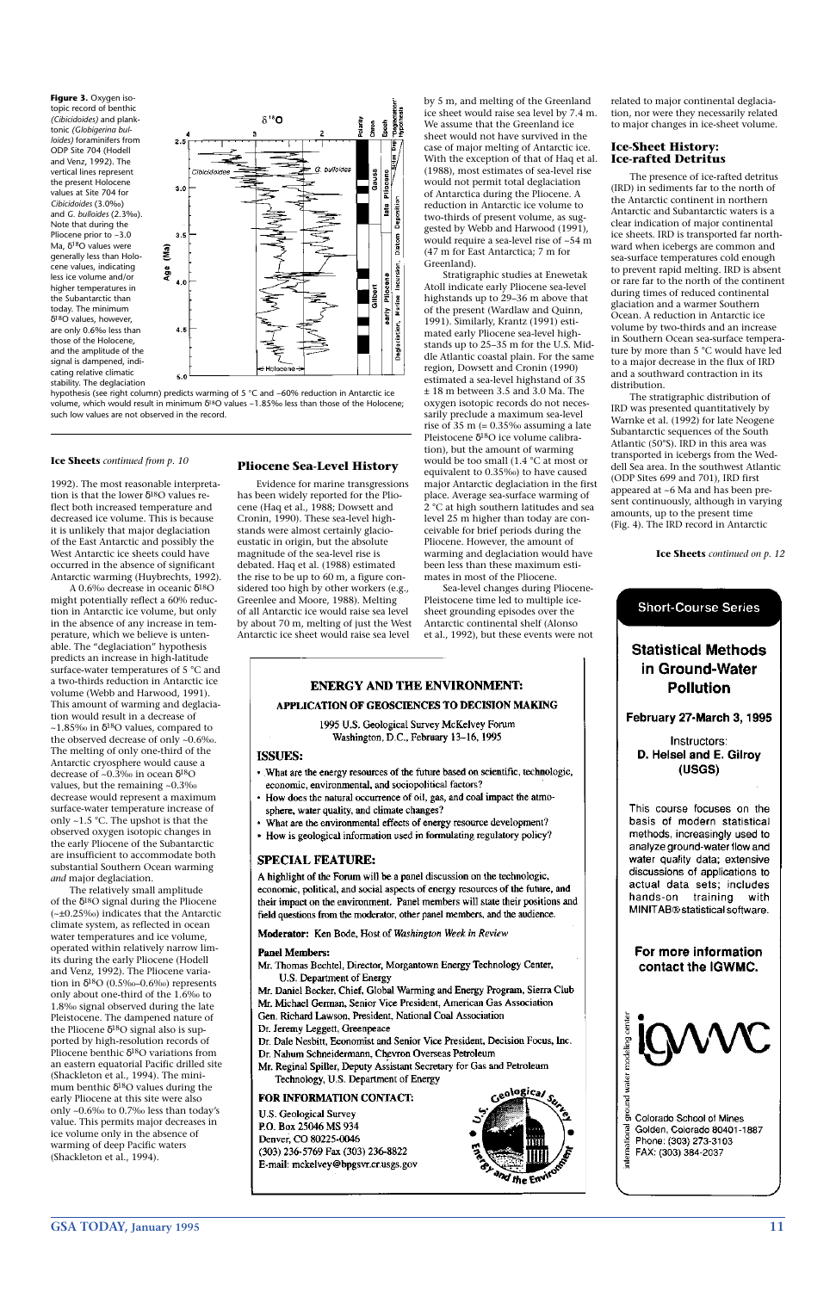**GSA TODAY, January 1995 11**

1992). The most reasonable interpretation is that the lower  $\delta^{18}$ O values reflect both increased temperature and decreased ice volume. This is because it is unlikely that major deglaciation of the East Antarctic and possibly the West Antarctic ice sheets could have occurred in the absence of significant Antarctic warming (Huybrechts, 1992).

A 0.6‰ decrease in oceanic δ18O might potentially reflect a 60% reduction in Antarctic ice volume, but only in the absence of any increase in temperature, which we believe is untenable. The "deglaciation" hypothesis predicts an increase in high-latitude surface-water temperatures of 5 °C and a two-thirds reduction in Antarctic ice volume (Webb and Harwood, 1991). This amount of warming and deglaciation would result in a decrease of ~1.85‰ in  $\delta^{18}$ O values, compared to the observed decrease of only ~0.6‰. The melting of only one-third of the Antarctic cryosphere would cause a decrease of ~0.3‰ in ocean  $\delta^{18}O$ values, but the remaining ~0.3‰ decrease would represent a maximum surface-water temperature increase of only ~1.5 °C. The upshot is that the observed oxygen isotopic changes in the early Pliocene of the Subantarctic are insufficient to accommodate both substantial Southern Ocean warming *and* major deglaciation.

The relatively small amplitude of the  $\delta^{18}$ O signal during the Pliocene (~±0.25‰) indicates that the Antarctic climate system, as reflected in ocean water temperatures and ice volume, operated within relatively narrow limits during the early Pliocene (Hodell and Venz, 1992). The Pliocene variation in δ<sup>18</sup>Ο (0.5‰–0.6‰) represents only about one-third of the 1.6‰ to 1.8‰ signal observed during the late Pleistocene. The dampened nature of the Pliocene  $\delta^{18}$ O signal also is supported by high-resolution records of Pliocene benthic δ18O variations from an eastern equatorial Pacific drilled site (Shackleton et al., 1994). The minimum benthic  $\delta^{18}$ O values during the early Pliocene at this site were also only ~0.6‰ to 0.7‰ less than today's value. This permits major decreases in ice volume only in the absence of warming of deep Pacific waters (Shackleton et al., 1994).

#### **Pliocene Sea-Level History**

Evidence for marine transgressions has been widely reported for the Pliocene (Haq et al., 1988; Dowsett and Cronin, 1990). These sea-level highstands were almost certainly glacioeustatic in origin, but the absolute magnitude of the sea-level rise is debated. Haq et al. (1988) estimated the rise to be up to 60 m, a figure considered too high by other workers (e.g., Greenlee and Moore, 1988). Melting of all Antarctic ice would raise sea level by about 70 m, melting of just the West Antarctic ice sheet would raise sea level

by 5 m, and melting of the Greenland ice sheet would raise sea level by 7.4 m. We assume that the Greenland ice sheet would not have survived in the case of major melting of Antarctic ice. With the exception of that of Haq et al. (1988), most estimates of sea-level rise would not permit total deglaciation of Antarctica during the Pliocene. A reduction in Antarctic ice volume to two-thirds of present volume, as suggested by Webb and Harwood (1991), would require a sea-level rise of ~54 m (47 m for East Antarctica; 7 m for Greenland).

hypothesis (see right column) predicts warming of 5 °C and ~60% reduction in Antarctic ice volume, which would result in minimum  $\delta^{18}O$  values ~1.85‰ less than those of the Holocene; such low values are not observed in the record.

Stratigraphic studies at Enewetak Atoll indicate early Pliocene sea-level highstands up to 29–36 m above that of the present (Wardlaw and Quinn, 1991). Similarly, Krantz (1991) estimated early Pliocene sea-level highstands up to 25–35 m for the U.S. Middle Atlantic coastal plain. For the same region, Dowsett and Cronin (1990) estimated a sea-level highstand of 35 ± 18 m between 3.5 and 3.0 Ma. The oxygen isotopic records do not necessarily preclude a maximum sea-level rise of 35 m  $(= 0.35\%$  assuming a late Pleistocene δ18O ice volume calibration), but the amount of warming would be too small (1.4 °C at most or equivalent to 0.35‰) to have caused major Antarctic deglaciation in the first place. Average sea-surface warming of 2 °C at high southern latitudes and sea level 25 m higher than today are conceivable for brief periods during the Pliocene. However, the amount of warming and deglaciation would have been less than these maximum estimates in most of the Pliocene.

Sea-level changes during Pliocene-Pleistocene time led to multiple icesheet grounding episodes over the Antarctic continental shelf (Alonso et al., 1992), but these events were not

#### **ENERGY AND THE ENVIRONMENT:**

#### APPLICATION OF GEOSCIENCES TO DECISION MAKING

1995 U.S. Geological Survey McKelvey Forum Washington, D.C., February 13-16, 1995

#### **ISSUES:**

- What are the energy resources of the future based on scientific, technologic, economic, environmental, and sociopolitical factors?
- How does the natural occurrence of oil, gas, and coal impact the atmosphere, water quality, and climate changes?
- What are the environmental effects of energy resource development?
- How is geological information used in formulating regulatory policy?

#### **SPECIAL FEATURE:**

A highlight of the Forum will be a panel discussion on the technologic, economic, political, and social aspects of energy resources of the future, and their impact on the environment. Panel members will state their positions and field questions from the moderator, other panel members, and the audience.

Moderator: Ken Bode, Host of Washington Week in Review

related to major continental deglaciation, nor were they necessarily related to major changes in ice-sheet volume.

#### **Ice-Sheet History: Ice-rafted Detritus**

The presence of ice-rafted detritus (IRD) in sediments far to the north of the Antarctic continent in northern Antarctic and Subantarctic waters is a clear indication of major continental ice sheets. IRD is transported far northward when icebergs are common and sea-surface temperatures cold enough to prevent rapid melting. IRD is absent or rare far to the north of the continent during times of reduced continental glaciation and a warmer Southern Ocean. A reduction in Antarctic ice volume by two-thirds and an increase in Southern Ocean sea-surface temperature by more than 5 °C would have led to a major decrease in the flux of IRD and a southward contraction in its distribution.

The stratigraphic distribution of IRD was presented quantitatively by Warnke et al. (1992) for late Neogene Subantarctic sequences of the South Atlantic (50°S). IRD in this area was transported in icebergs from the Weddell Sea area. In the southwest Atlantic (ODP Sites 699 and 701), IRD first appeared at ~6 Ma and has been present continuously, although in varying amounts, up to the present time (Fig. 4). The IRD record in Antarctic

**Ice Sheets** *continued on p. 12*



water quality data; extensive discussions of applications to actual data sets; includes hands-on training with MINITAB® statistical software.

#### **Panel Members:**

Mr. Thomas Bechtel, Director, Morgantown Energy Technology Center, U.S. Department of Energy

Mr. Daniel Becker, Chief, Global Warming and Energy Program, Sierra Club

Mr. Michael German, Senior Vice President, American Gas Association

Gen. Richard Lawson, President, National Coal Association

Dr. Jeremy Leggett, Greenpeace

Dr. Dale Nesbitt, Economist and Senior Vice President, Decision Focus, Inc.

Dr. Nahum Schneidermann, Chevron Overseas Petroleum

Mr. Reginal Spiller, Deputy Assistant Secretary for Gas and Petroleum

Technology, U.S. Department of Energy

#### FOR INFORMATION CONTACT:

U.S. Geological Survey P.O. Box 25046 MS 934 Denver, CO 80225-0046 (303) 236-5769 Fax (303) 236-8822 E-mail: mckelvey@bpgsvr.cr.usgs.gov



#### For more information contact the IGWMC.



r<br>Banda<br>En Colorado School of Mines international Golden, Colorado 80401-1887 Phone: (303) 273-3103 FAX: (303) 384-2037

#### **Ice Sheets** *continued from p. 10*

**Figure 3.** Oxygen isotopic record of benthic *(Cibicidoides)* and planktonic *(Globigerina bulloides)* foraminifers from ODP Site 704 (Hodell and Venz, 1992). The vertical lines represent the present Holocene values at Site 704 for *Cibicidoides* (3.0‰) and *G. bulloides* (2.3‰). Note that during the Pliocene prior to ~3.0 Ma, δ18O values were generally less than Holocene values, indicating less ice volume and/or higher temperatures in the Subantarctic than today. The minimum  $\delta^{18}$ O values, however, are only 0.6‰ less than those of the Holocene, and the amplitude of the signal is dampened, indicating relative climatic stability. The deglaciation

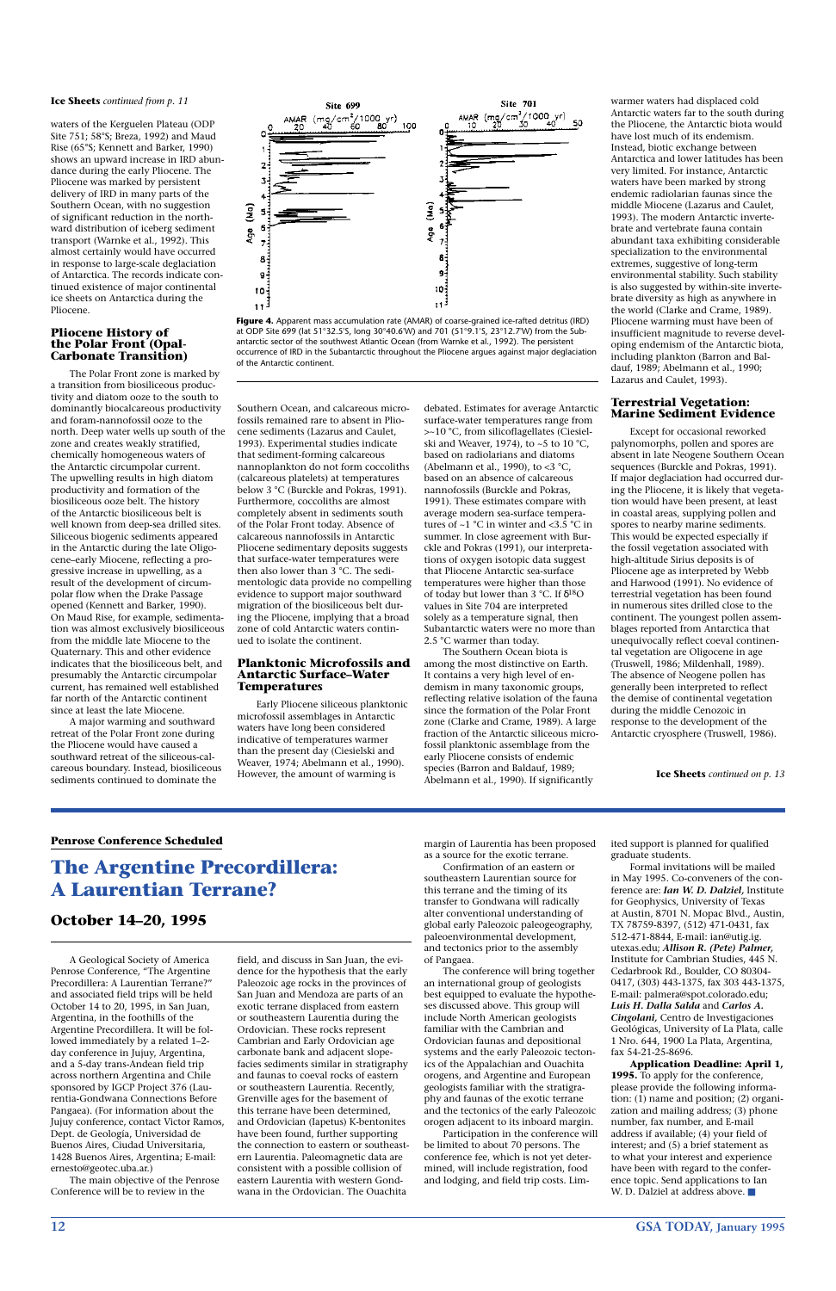**12 GSA TODAY, January 1995**

waters of the Kerguelen Plateau (ODP Site 751; 58°S; Breza, 1992) and Maud Rise (65°S; Kennett and Barker, 1990) shows an upward increase in IRD abundance during the early Pliocene. The Pliocene was marked by persistent delivery of IRD in many parts of the Southern Ocean, with no suggestion of significant reduction in the northward distribution of iceberg sediment transport (Warnke et al., 1992). This almost certainly would have occurred in response to large-scale deglaciation of Antarctica. The records indicate continued existence of major continental ice sheets on Antarctica during the Pliocene.

#### **Pliocene History of the Polar Front (Opal-Carbonate Transition)**

The Polar Front zone is marked by a transition from biosiliceous productivity and diatom ooze to the south to dominantly biocalcareous productivity and foram-nannofossil ooze to the north. Deep water wells up south of the zone and creates weakly stratified, chemically homogeneous waters of the Antarctic circumpolar current. The upwelling results in high diatom productivity and formation of the biosiliceous ooze belt. The history of the Antarctic biosiliceous belt is well known from deep-sea drilled sites. Siliceous biogenic sediments appeared in the Antarctic during the late Oligocene–early Miocene, reflecting a progressive increase in upwelling, as a result of the development of circumpolar flow when the Drake Passage opened (Kennett and Barker, 1990). On Maud Rise, for example, sedimentation was almost exclusively biosiliceous from the middle late Miocene to the Quaternary. This and other evidence indicates that the biosiliceous belt, and presumably the Antarctic circumpolar current, has remained well established far north of the Antarctic continent since at least the late Miocene.

A major warming and southward retreat of the Polar Front zone during the Pliocene would have caused a southward retreat of the siliceous-calcareous boundary. Instead, biosiliceous sediments continued to dominate the

Southern Ocean, and calcareous microfossils remained rare to absent in Pliocene sediments (Lazarus and Caulet, 1993). Experimental studies indicate that sediment-forming calcareous nannoplankton do not form coccoliths (calcareous platelets) at temperatures below 3 °C (Burckle and Pokras, 1991). Furthermore, coccoliths are almost completely absent in sediments south of the Polar Front today. Absence of calcareous nannofossils in Antarctic Pliocene sedimentary deposits suggests that surface-water temperatures were then also lower than 3 °C. The sedimentologic data provide no compelling evidence to support major southward migration of the biosiliceous belt during the Pliocene, implying that a broad zone of cold Antarctic waters continued to isolate the continent.

#### **Planktonic Microfossils and Antarctic Surface–Water Temperatures**

Early Pliocene siliceous planktonic microfossil assemblages in Antarctic waters have long been considered indicative of temperatures warmer than the present day (Ciesielski and Weaver, 1974; Abelmann et al., 1990). However, the amount of warming is

debated. Estimates for average Antarctic surface-water temperatures range from >~10 °C, from silicoflagellates (Ciesielski and Weaver, 1974), to ~5 to 10 °C, based on radiolarians and diatoms (Abelmann et al., 1990), to <3  $^{\circ}$ C, based on an absence of calcareous nannofossils (Burckle and Pokras, 1991). These estimates compare with average modern sea-surface temperatures of ~1 °C in winter and <3.5 °C in summer. In close agreement with Burckle and Pokras (1991), our interpretations of oxygen isotopic data suggest that Pliocene Antarctic sea-surface temperatures were higher than those of today but lower than 3 °C. If δ18O values in Site 704 are interpreted solely as a temperature signal, then Subantarctic waters were no more than 2.5 °C warmer than today.

The Southern Ocean biota is among the most distinctive on Earth. It contains a very high level of endemism in many taxonomic groups, reflecting relative isolation of the fauna since the formation of the Polar Front zone (Clarke and Crame, 1989). A large fraction of the Antarctic siliceous microfossil planktonic assemblage from the early Pliocene consists of endemic species (Barron and Baldauf, 1989; Abelmann et al., 1990). If significantly

> Formal invitations will be mailed in May 1995. Co-conveners of the conference are: *Ian W. D. Dalziel,* Institute for Geophysics, University of Texas at Austin, 8701 N. Mopac Blvd., Austin, TX 78759-8397, (512) 471-0431, fax 512-471-8844, E-mail: ian@utig.ig. utexas.edu; *Allison R. (Pete) Palmer,* Institute for Cambrian Studies, 445 N. Cedarbrook Rd., Boulder, CO 80304- 0417, (303) 443-1375, fax 303 443-1375, E-mail: palmera@spot.colorado.edu; *Luis H. Dalla Salda* and *Carlos A. Cingolani,* Centro de Investigaciones Geológicas, University of La Plata, calle 1 Nro. 644, 1900 La Plata, Argentina, fax 54-21-25-8696. **Application Deadline: April 1, 1995.** To apply for the conference, please provide the following information: (1) name and position; (2) organization and mailing address; (3) phone number, fax number, and E-mail address if available; (4) your field of interest; and (5) a brief statement as to what your interest and experience have been with regard to the conference topic. Send applications to Ian W. D. Dalziel at address above. ■

> warmer waters had displaced cold Antarctic waters far to the south during the Pliocene, the Antarctic biota would have lost much of its endemism. Instead, biotic exchange between Antarctica and lower latitudes has been very limited. For instance, Antarctic waters have been marked by strong endemic radiolarian faunas since the middle Miocene (Lazarus and Caulet, 1993). The modern Antarctic invertebrate and vertebrate fauna contain abundant taxa exhibiting considerable specialization to the environmental extremes, suggestive of long-term environmental stability. Such stability is also suggested by within-site invertebrate diversity as high as anywhere in the world (Clarke and Crame, 1989). Pliocene warming must have been of insufficient magnitude to reverse developing endemism of the Antarctic biota, including plankton (Barron and Baldauf, 1989; Abelmann et al., 1990; Lazarus and Caulet, 1993).

#### **Terrestrial Vegetation: Marine Sediment Evidence**

Except for occasional reworked palynomorphs, pollen and spores are absent in late Neogene Southern Ocean sequences (Burckle and Pokras, 1991). If major deglaciation had occurred during the Pliocene, it is likely that vegetation would have been present, at least in coastal areas, supplying pollen and spores to nearby marine sediments. This would be expected especially if the fossil vegetation associated with high-altitude Sirius deposits is of Pliocene age as interpreted by Webb and Harwood (1991). No evidence of terrestrial vegetation has been found in numerous sites drilled close to the continent. The youngest pollen assemblages reported from Antarctica that unequivocally reflect coeval continental vegetation are Oligocene in age (Truswell, 1986; Mildenhall, 1989). The absence of Neogene pollen has generally been interpreted to reflect the demise of continental vegetation during the middle Cenozoic in response to the development of the Antarctic cryosphere (Truswell, 1986).

#### **Ice Sheets** *continued from p. 11*

A Geological Society of America Penrose Conference, "The Argentine Precordillera: A Laurentian Terrane?" and associated field trips will be held October 14 to 20, 1995, in San Juan, Argentina, in the foothills of the Argentine Precordillera. It will be followed immediately by a related 1–2 day conference in Jujuy, Argentina, and a 5-day trans-Andean field trip across northern Argentina and Chile sponsored by IGCP Project 376 (Laurentia-Gondwana Connections Before Pangaea). (For information about the Jujuy conference, contact Victor Ramos, Dept. de Geología, Universidad de Buenos Aires, Ciudad Universitaria, 1428 Buenos Aires, Argentina; E-mail: ernesto@geotec.uba.ar.)

The main objective of the Penrose Conference will be to review in the

field, and discuss in San Juan, the evidence for the hypothesis that the early Paleozoic age rocks in the provinces of San Juan and Mendoza are parts of an exotic terrane displaced from eastern or southeastern Laurentia during the Ordovician. These rocks represent Cambrian and Early Ordovician age carbonate bank and adjacent slopefacies sediments similar in stratigraphy and faunas to coeval rocks of eastern or southeastern Laurentia. Recently, Grenville ages for the basement of this terrane have been determined, and Ordovician (Iapetus) K-bentonites have been found, further supporting the connection to eastern or southeastern Laurentia. Paleomagnetic data are consistent with a possible collision of eastern Laurentia with western Gondwana in the Ordovician. The Ouachita

margin of Laurentia has been proposed as a source for the exotic terrane.

Confirmation of an eastern or southeastern Laurentian source for this terrane and the timing of its transfer to Gondwana will radically alter conventional understanding of global early Paleozoic paleogeography, paleoenvironmental development,

and tectonics prior to the assembly of Pangaea.

The conference will bring together an international group of geologists best equipped to evaluate the hypotheses discussed above. This group will include North American geologists familiar with the Cambrian and Ordovician faunas and depositional systems and the early Paleozoic tectonics of the Appalachian and Ouachita orogens, and Argentine and European geologists familiar with the stratigraphy and faunas of the exotic terrane and the tectonics of the early Paleozoic orogen adjacent to its inboard margin.

Participation in the conference will be limited to about 70 persons. The conference fee, which is not yet determined, will include registration, food and lodging, and field trip costs. Lim-

ited support is planned for qualified graduate students.

#### **Penrose Conference Scheduled**

# **The Argentine Precordillera: A Laurentian Terrane?**

#### **October 14–20, 1995**

**Ice Sheets** *continued on p. 13*



**Figure 4.** Apparent mass accumulation rate (AMAR) of coarse-grained ice-rafted detritus (IRD) at ODP Site 699 (lat 51°32.5'S, long 30°40.6'W) and 701 (51°9.1'S, 23°12.7'W) from the Subantarctic sector of the southwest Atlantic Ocean (from Warnke et al., 1992). The persistent occurrence of IRD in the Subantarctic throughout the Pliocene argues against major deglaciation of the Antarctic continent.